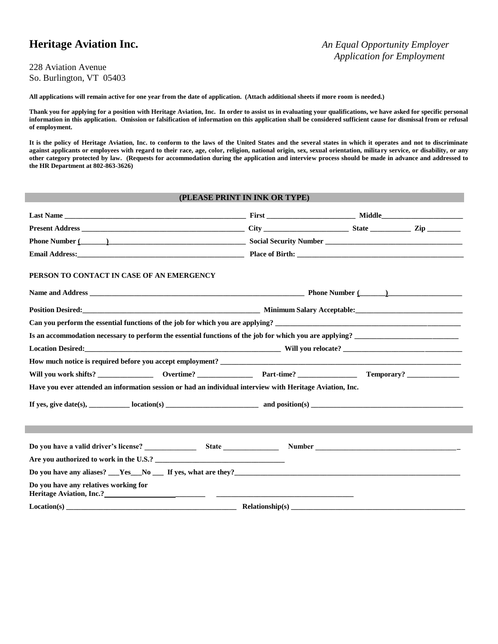## **Heritage Aviation Inc.** *An Equal Opportunity Employer*

#### 228 Aviation Avenue So. Burlington, VT 05403

**All applications will remain active for one year from the date of application. (Attach additional sheets if more room is needed.)**

**Thank you for applying for a position with Heritage Aviation, Inc. In order to assist us in evaluating your qualifications, we have asked for specific personal information in this application. Omission or falsification of information on this application shall be considered sufficient cause for dismissal from or refusal of employment.**

**It is the policy of Heritage Aviation, Inc. to conform to the laws of the United States and the several states in which it operates and not to discriminate against applicants or employees with regard to their race, age, color, religion, national origin, sex, sexual orientation, military service, or disability, or any other category protected by law. (Requests for accommodation during the application and interview process should be made in advance and addressed to the HR Department at 802-863-3626)**

#### **(PLEASE PRINT IN INK OR TYPE)**

| Phone Number (Change and Changes and Changes and Changes and Changes and Changes and Changes and Changes and Changes and Changes and Changes and Changes and Changes and Changes and Changes and Changes and Changes and Chang |  |  |
|--------------------------------------------------------------------------------------------------------------------------------------------------------------------------------------------------------------------------------|--|--|
|                                                                                                                                                                                                                                |  |  |
| PERSON TO CONTACT IN CASE OF AN EMERGENCY                                                                                                                                                                                      |  |  |
|                                                                                                                                                                                                                                |  |  |
|                                                                                                                                                                                                                                |  |  |
| Can you perform the essential functions of the job for which you are applying?                                                                                                                                                 |  |  |
| Is an accommodation necessary to perform the essential functions of the job for which you are applying?                                                                                                                        |  |  |
|                                                                                                                                                                                                                                |  |  |
|                                                                                                                                                                                                                                |  |  |
|                                                                                                                                                                                                                                |  |  |
| Have you ever attended an information session or had an individual interview with Heritage Aviation, Inc.                                                                                                                      |  |  |
|                                                                                                                                                                                                                                |  |  |
|                                                                                                                                                                                                                                |  |  |
|                                                                                                                                                                                                                                |  |  |
|                                                                                                                                                                                                                                |  |  |
| Are you authorized to work in the U.S.?                                                                                                                                                                                        |  |  |
| Do you have any aliases? <u>Section</u> No Section 16 yes, what are they? <u>Conservation and the section of the section</u>                                                                                                   |  |  |
| Do you have any relatives working for                                                                                                                                                                                          |  |  |
|                                                                                                                                                                                                                                |  |  |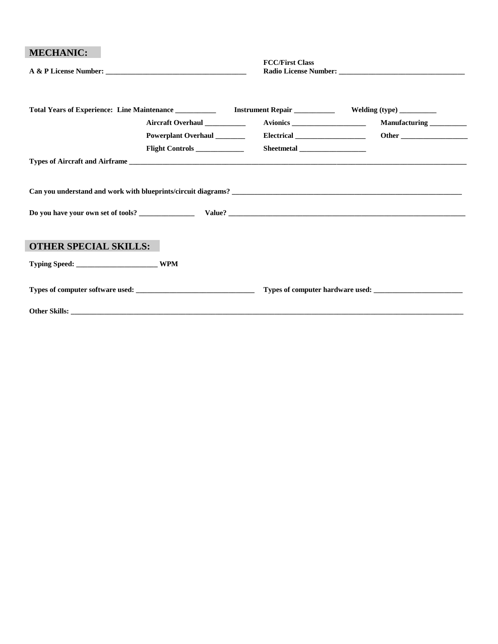| <b>MECHANIC:</b>             |                             | <b>FCC/First Class</b> |                          |
|------------------------------|-----------------------------|------------------------|--------------------------|
|                              |                             |                        |                          |
|                              | Aircraft Overhaul           |                        | Manufacturing __________ |
|                              | Powerplant Overhaul         |                        |                          |
|                              | Flight Controls ___________ |                        |                          |
|                              |                             |                        |                          |
|                              |                             |                        |                          |
| <b>OTHER SPECIAL SKILLS:</b> |                             |                        |                          |
|                              |                             |                        |                          |
|                              |                             |                        |                          |
|                              |                             |                        |                          |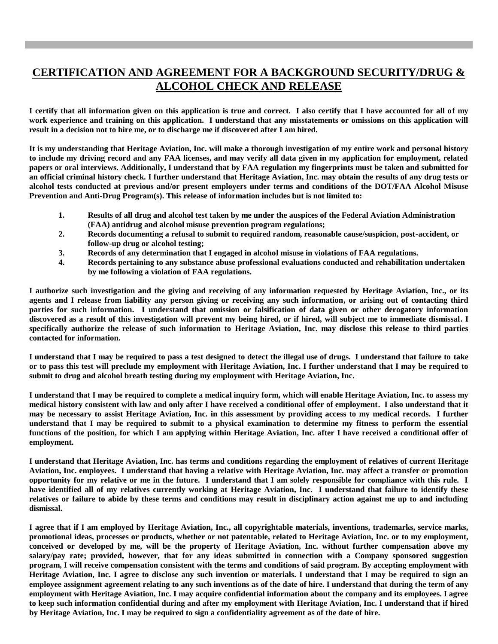## **CERTIFICATION AND AGREEMENT FOR A BACKGROUND SECURITY/DRUG & ALCOHOL CHECK AND RELEASE**

**I certify that all information given on this application is true and correct. I also certify that I have accounted for all of my work experience and training on this application. I understand that any misstatements or omissions on this application will result in a decision not to hire me, or to discharge me if discovered after I am hired.**

**It is my understanding that Heritage Aviation, Inc. will make a thorough investigation of my entire work and personal history to include my driving record and any FAA licenses, and may verify all data given in my application for employment, related papers or oral interviews. Additionally, I understand that by FAA regulation my fingerprints must be taken and submitted for an official criminal history check. I further understand that Heritage Aviation, Inc. may obtain the results of any drug tests or alcohol tests conducted at previous and/or present employers under terms and conditions of the DOT/FAA Alcohol Misuse Prevention and Anti-Drug Program(s). This release of information includes but is not limited to:**

- **1. Results of all drug and alcohol test taken by me under the auspices of the Federal Aviation Administration (FAA) antidrug and alcohol misuse prevention program regulations;**
- **2. Records documenting a refusal to submit to required random, reasonable cause/suspicion, post-accident, or follow-up drug or alcohol testing;**
- **3. Records of any determination that I engaged in alcohol misuse in violations of FAA regulations.**
- **4. Records pertaining to any substance abuse professional evaluations conducted and rehabilitation undertaken by me following a violation of FAA regulations.**

**I authorize such investigation and the giving and receiving of any information requested by Heritage Aviation, Inc., or its agents and I release from liability any person giving or receiving any such information, or arising out of contacting third parties for such information. I understand that omission or falsification of data given or other derogatory information discovered as a result of this investigation will prevent my being hired, or if hired, will subject me to immediate dismissal. I specifically authorize the release of such information to Heritage Aviation, Inc. may disclose this release to third parties contacted for information.**

**I understand that I may be required to pass a test designed to detect the illegal use of drugs. I understand that failure to take or to pass this test will preclude my employment with Heritage Aviation, Inc. I further understand that I may be required to submit to drug and alcohol breath testing during my employment with Heritage Aviation, Inc.**

**I understand that I may be required to complete a medical inquiry form, which will enable Heritage Aviation, Inc. to assess my medical history consistent with law and only after I have received a conditional offer of employment. I also understand that it may be necessary to assist Heritage Aviation, Inc. in this assessment by providing access to my medical records. I further understand that I may be required to submit to a physical examination to determine my fitness to perform the essential functions of the position, for which I am applying within Heritage Aviation, Inc. after I have received a conditional offer of employment.**

**I understand that Heritage Aviation, Inc. has terms and conditions regarding the employment of relatives of current Heritage Aviation, Inc. employees. I understand that having a relative with Heritage Aviation, Inc. may affect a transfer or promotion opportunity for my relative or me in the future. I understand that I am solely responsible for compliance with this rule. I have identified all of my relatives currently working at Heritage Aviation, Inc. I understand that failure to identify these relatives or failure to abide by these terms and conditions may result in disciplinary action against me up to and including dismissal.**

**I agree that if I am employed by Heritage Aviation, Inc., all copyrightable materials, inventions, trademarks, service marks, promotional ideas, processes or products, whether or not patentable, related to Heritage Aviation, Inc. or to my employment, conceived or developed by me, will be the property of Heritage Aviation, Inc. without further compensation above my salary/pay rate; provided, however, that for any ideas submitted in connection with a Company sponsored suggestion program, I will receive compensation consistent with the terms and conditions of said program. By accepting employment with Heritage Aviation, Inc. I agree to disclose any such invention or materials. I understand that I may be required to sign an employee assignment agreement relating to any such inventions as of the date of hire. I understand that during the term of any employment with Heritage Aviation, Inc. I may acquire confidential information about the company and its employees. I agree to keep such information confidential during and after my employment with Heritage Aviation, Inc. I understand that if hired by Heritage Aviation, Inc. I may be required to sign a confidentiality agreement as of the date of hire.**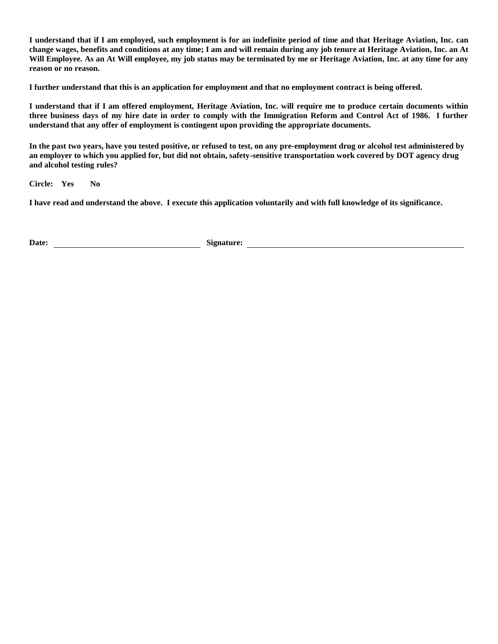**I understand that if I am employed, such employment is for an indefinite period of time and that Heritage Aviation, Inc. can change wages, benefits and conditions at any time; I am and will remain during any job tenure at Heritage Aviation, Inc. an At Will Employee. As an At Will employee, my job status may be terminated by me or Heritage Aviation, Inc. at any time for any reason or no reason.**

**I further understand that this is an application for employment and that no employment contract is being offered.**

**I understand that if I am offered employment, Heritage Aviation, Inc. will require me to produce certain documents within three business days of my hire date in order to comply with the Immigration Reform and Control Act of 1986. I further understand that any offer of employment is contingent upon providing the appropriate documents.**

**In the past two years, have you tested positive, or refused to test, on any pre-employment drug or alcohol test administered by an employer to which you applied for, but did not obtain, safety-sensitive transportation work covered by DOT agency drug and alcohol testing rules?** 

**Circle: Yes No** 

**I have read and understand the above. I execute this application voluntarily and with full knowledge of its significance.**

Date: <u>**Container Signature:** Signature: **Container Signature: Signature: Container Signature: Container Signature: Container Signature: Container Signature: Container Signature: Container Signature: Contai</u>**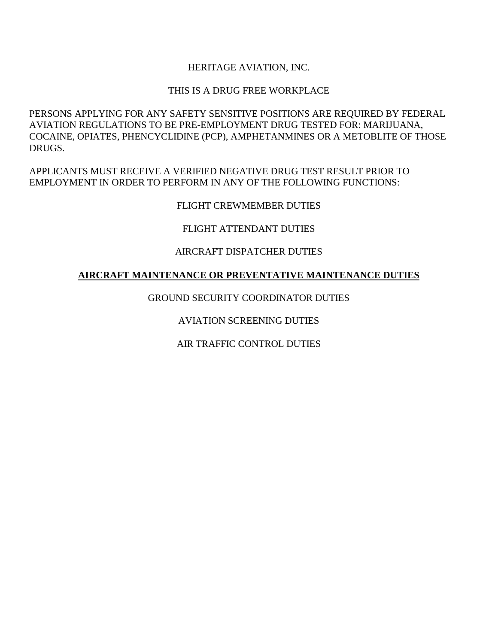### HERITAGE AVIATION, INC.

#### THIS IS A DRUG FREE WORKPLACE

PERSONS APPLYING FOR ANY SAFETY SENSITIVE POSITIONS ARE REQUIRED BY FEDERAL AVIATION REGULATIONS TO BE PRE-EMPLOYMENT DRUG TESTED FOR: MARIJUANA, COCAINE, OPIATES, PHENCYCLIDINE (PCP), AMPHETANMINES OR A METOBLITE OF THOSE DRUGS.

APPLICANTS MUST RECEIVE A VERIFIED NEGATIVE DRUG TEST RESULT PRIOR TO EMPLOYMENT IN ORDER TO PERFORM IN ANY OF THE FOLLOWING FUNCTIONS:

### FLIGHT CREWMEMBER DUTIES

#### FLIGHT ATTENDANT DUTIES

#### AIRCRAFT DISPATCHER DUTIES

#### **AIRCRAFT MAINTENANCE OR PREVENTATIVE MAINTENANCE DUTIES**

#### GROUND SECURITY COORDINATOR DUTIES

### AVIATION SCREENING DUTIES

### AIR TRAFFIC CONTROL DUTIES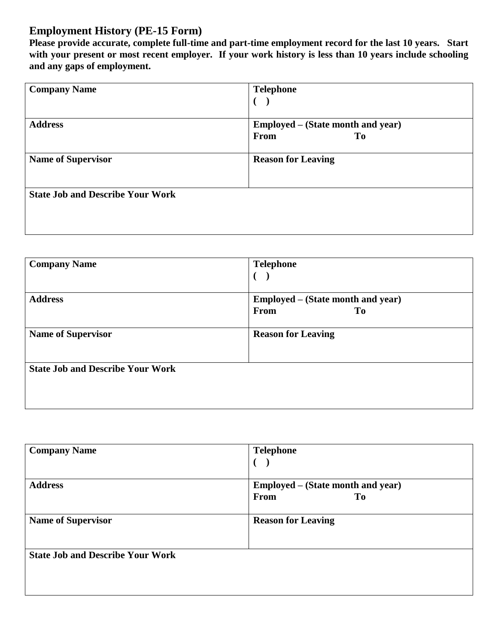# **Employment History (PE-15 Form)**

**Please provide accurate, complete full-time and part-time employment record for the last 10 years. Start with your present or most recent employer. If your work history is less than 10 years include schooling and any gaps of employment.**

| <b>Company Name</b>                     | <b>Telephone</b>                  |
|-----------------------------------------|-----------------------------------|
|                                         | €                                 |
| <b>Address</b>                          | Employed – (State month and year) |
|                                         | <b>From</b><br>To                 |
| <b>Name of Supervisor</b>               | <b>Reason for Leaving</b>         |
| <b>State Job and Describe Your Work</b> |                                   |
|                                         |                                   |

| <b>Company Name</b>                     | <b>Telephone</b>                  |
|-----------------------------------------|-----------------------------------|
|                                         |                                   |
| <b>Address</b>                          | Employed – (State month and year) |
|                                         | From<br>T <sub>0</sub>            |
|                                         |                                   |
| <b>Name of Supervisor</b>               | <b>Reason for Leaving</b>         |
| <b>State Job and Describe Your Work</b> |                                   |
|                                         |                                   |
|                                         |                                   |

| <b>Company Name</b>                     | <b>Telephone</b>                                            |
|-----------------------------------------|-------------------------------------------------------------|
| <b>Address</b>                          | Employed – (State month and year)<br>T <sub>0</sub><br>From |
| <b>Name of Supervisor</b>               | <b>Reason for Leaving</b>                                   |
| <b>State Job and Describe Your Work</b> |                                                             |